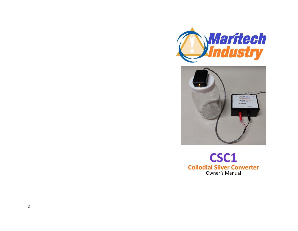



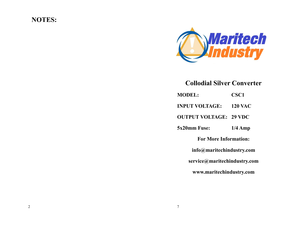## **NOTES:**



**Collodial Silver Converter**

| <b>MODEL:</b>                 | CSC <sub>1</sub> |
|-------------------------------|------------------|
| INPUT VOLTAGE:                | <b>120 VAC</b>   |
| <b>OUTPUT VOLTAGE: 29 VDC</b> |                  |
| 5x20mm Fuse:                  | $1/4$ Amp        |
| <b>For More Information:</b>  |                  |
| info@maritechindustry.com     |                  |
| service@maritechindustry.com  |                  |
| www.maritechindustry.com      |                  |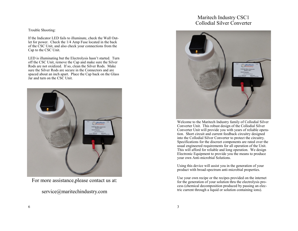## Maritech Industry CSC1 Collodial Silver Converter

Welcome to the Maritech Industry family of Collodial Silver Converter Unit. This robust design of the Collodial Silver Converter Unit will provide you with years of reliable operation. Short circuit and current feedback circuitry designed into the Collodial Silver Converter to protect the circuitry. Specifications for the discreet components are rated over the usual engineered requirements for all operation of the Unit. This will afford for reliable and long operation. We design Electronic Equipment to provide you the means to produce your own Anti-microbial Solutions.

Using this device will assist you in the generation of your product with broad-spectrum anti-microbial properties.

Use your own recipe or the recipes provided on the internet for the generation of your solution thru the electrolysis process (chemical decomposition produced by passing an electric current through a liquid or solution containing ions).

## Trouble Shooting:

If the Indicator LED fails to illuminate, check the Wall Outlet for power. Check the 1/4 Amp Fuse located in the back of the CSC Unit, and also check your connections from the Cap to the CSC Unit.

LED is illuminating but the Electrolysis hasn't started. Turn off the CSC Unit, remove the Cap and make sure the Silver Rods are not oxidized. If so, clean the Silver Rods. Make sure the Silver Rods are secure in the Connectors and are spaced about an inch apart. Place the Cap back on the Glass Jar and turn on the CSC Unit.



For more assistance,please contact us at:

service@maritechindustry.com